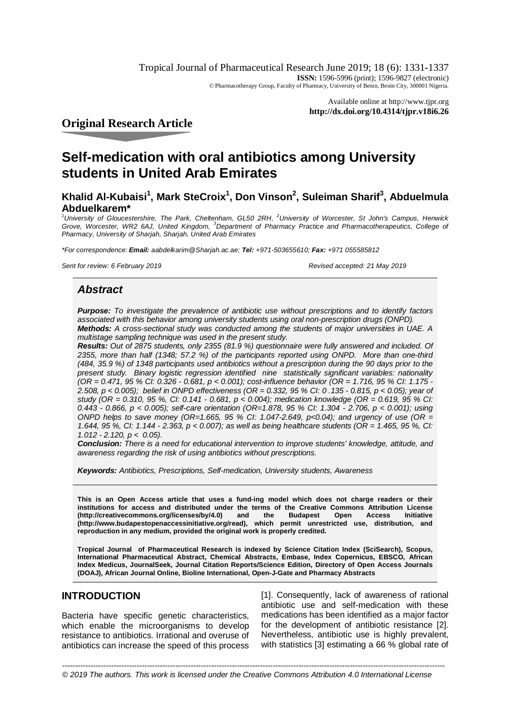Tropical Journal of Pharmaceutical Research June 2019; 18 (6): 1331-1337 **ISSN:** 1596-5996 (print); 1596-9827 (electronic) © Pharmacotherapy Group, Faculty of Pharmacy, University of Benin, Benin City, 300001 Nigeria.

> Available online at <http://www.tjpr.org> **<http://dx.doi.org/10.4314/tjpr.v18i6.26>**

# **Original Research Article**

# **Self-medication with oral antibiotics among University students in United Arab Emirates**

**Khalid Al-Kubaisi<sup>1</sup> , Mark SteCroix<sup>1</sup> , Don Vinson<sup>2</sup> , Suleiman Sharif<sup>3</sup> , Abduelmula Abduelkarem\***

<sup>1</sup>*University of Gloucestershire, The Park, Cheltenham, GL50 2RH, <sup>2</sup>University of Worcester, St John's Campus, Henwick Grove, Worcester, WR2 6AJ, United Kingdom, <sup>3</sup>Department of Pharmacy Practice and Pharmacotherapeutics, College of Pharmacy, University of Sharjah, Sharjah, United Arab Emirates*

*\*For correspondence: Email: [aabdelkarim@Sharjah.ac.ae;](mailto:aabdelkarim@Sharjah.ac.ae;) Tel: +971-503655610; Fax: +971 055585812*

*Sent for review: 6 February 2019 Revised accepted: 21 May 2019*

## *Abstract*

*Purpose: To investigate the prevalence of antibiotic use without prescriptions and to identify factors associated with this behavior among university students using oral non-prescription drugs (ONPD). Methods: A cross-sectional study was conducted among the students of major universities in UAE. A* 

*multistage sampling technique was used in the present study.* 

*Results: Out of 2875 students, only 2355 (81.9 %) questionnaire were fully answered and included. Of 2355, more than half (1348; 57.2 %) of the participants reported using ONPD. More than one-third (484, 35.9 %) of 1348 participants used antibiotics without a prescription during the 90 days prior to the present study. Binary logistic regression identified nine statistically significant variables: nationality (OR = 0.471, 95 % CI: 0.326 - 0.681, p < 0.001); cost-influence behavior (OR = 1.716, 95 % CI: 1.175 - 2.508, p < 0.005); belief in ONPD effectiveness (OR = 0.332, 95 % CI: 0 .135 - 0.815, p < 0.05); year of study (OR = 0.310, 95 %, CI: 0.141 - 0.681, p < 0.004); medication knowledge (OR = 0.619, 95 % CI: 0.443 - 0.866, p < 0.005); self-care orientation (OR=1.878, 95 % CI: 1.304 - 2.706, p < 0.001); using ONPD helps to save money (OR=1.665, 95 % CI: 1.047-2.649, p<0.04); and urgency of use (OR = 1.644, 95 %, CI: 1.144 - 2.363, p < 0.007); as well as being healthcare students (OR = 1.465, 95 %, CI: 1.012 - 2.120, p < 0.05).*

*Conclusion: There is a need for educational intervention to improve students' knowledge, attitude, and awareness regarding the risk of using antibiotics without prescriptions.* 

*Keywords: Antibiotics, Prescriptions, Self-medication, University students, Awareness*

**This is an Open Access article that uses a fund-ing model which does not charge readers or their institutions for access and distributed under the terms of the Creative Commons Attribution License (http://creativecommons.org/licenses/bv/4.0) [\(http://www.budapestopenaccessinitiative.org/read\),](http://www.budapestopenaccessinitiative.org/read),) which permit unrestricted use, distribution, and reproduction in any medium, provided the original work is properly credited.**

**Tropical Journal of Pharmaceutical Research is indexed by Science Citation Index (SciSearch), Scopus, International Pharmaceutical Abstract, Chemical Abstracts, Embase, Index Copernicus, EBSCO, African Index Medicus, JournalSeek, Journal Citation Reports/Science Edition, Directory of Open Access Journals (DOAJ), African Journal Online, Bioline International, Open-J-Gate and Pharmacy Abstracts**

## **INTRODUCTION**

Bacteria have specific genetic characteristics, which enable the microorganisms to develop resistance to antibiotics. Irrational and overuse of antibiotics can increase the speed of this process

[1]. Consequently, lack of awareness of rational antibiotic use and self-medication with these medications has been identified as a major factor for the development of antibiotic resistance [2]. Nevertheless, antibiotic use is highly prevalent, with statistics [3] estimating a 66 % global rate of

*Trop J Pharm Res, June 2019; 18(6):* 1331 *© 2019 The authors. This work is licensed under the Creative Commons Attribution 4.0 International License-----------------------------------------------------------------------------------------------------------------------------------------------------*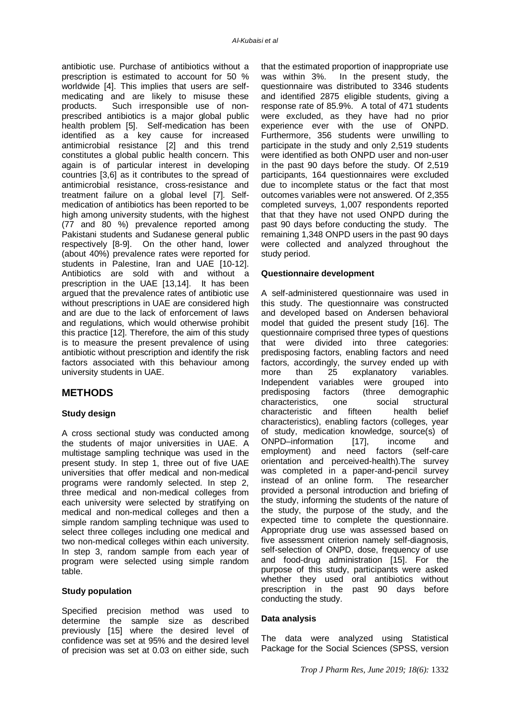antibiotic use. Purchase of antibiotics without a prescription is estimated to account for 50 % worldwide [4]. This implies that users are selfmedicating and are likely to misuse these products. Such irresponsible use of nonprescribed antibiotics is a major global public health problem [5]. Self-medication has been identified as a key cause for increased antimicrobial resistance [2] and this trend constitutes a global public health concern. This again is of particular interest in developing countries [3,6] as it contributes to the spread of antimicrobial resistance, cross-resistance and treatment failure on a global level [7]. Selfmedication of antibiotics has been reported to be high among university students, with the highest (77 and 80 %) prevalence reported among Pakistani students and Sudanese general public respectively [8-9]. On the other hand, lower (about 40%) prevalence rates were reported for students in Palestine, Iran and UAE [10-12]. Antibiotics are sold with and without a prescription in the UAE [13,14]. It has been argued that the prevalence rates of antibiotic use without prescriptions in UAE are considered high and are due to the lack of enforcement of laws and regulations, which would otherwise prohibit this practice [12]. Therefore, the aim of this study is to measure the present prevalence of using antibiotic without prescription and identify the risk factors associated with this behaviour among university students in UAE.

## **METHODS**

### **Study design**

A cross sectional study was conducted among the students of major universities in UAE. A multistage sampling technique was used in the present study. In step 1, three out of five UAE universities that offer medical and non-medical programs were randomly selected. In step 2, three medical and non-medical colleges from each university were selected by stratifying on medical and non-medical colleges and then a simple random sampling technique was used to select three colleges including one medical and two non-medical colleges within each university. In step 3, random sample from each year of program were selected using simple random table.

### **Study population**

Specified precision method was used to determine the sample size as described previously [15] where the desired level of confidence was set at 95% and the desired level of precision was set at 0.03 on either side, such

that the estimated proportion of inappropriate use was within 3%. In the present study, the questionnaire was distributed to 3346 students and identified 2875 eligible students, giving a response rate of 85.9%. A total of 471 students were excluded, as they have had no prior experience ever with the use of ONPD. Furthermore, 356 students were unwilling to participate in the study and only 2,519 students were identified as both ONPD user and non-user in the past 90 days before the study. Of 2,519 participants, 164 questionnaires were excluded due to incomplete status or the fact that most outcomes variables were not answered. Of 2,355 completed surveys, 1,007 respondents reported that that they have not used ONPD during the past 90 days before conducting the study. The remaining 1,348 ONPD users in the past 90 days were collected and analyzed throughout the study period.

#### **Questionnaire development**

A self-administered questionnaire was used in this study. The questionnaire was constructed and developed based on Andersen behavioral model that guided the present study [16]. The questionnaire comprised three types of questions that were divided into three categories: predisposing factors, enabling factors and need factors, accordingly, the survey ended up with more than 25 explanatory variables. Independent variables were grouped into predisposing factors (three demographic<br>characteristics, one social structural characteristics, one social characteristic and fifteen health belief characteristics), enabling factors (colleges, year of study, medication knowledge, source(s) of ONPD–information [17], income and employment) and need factors (self-care orientation and perceived-health).The survey was completed in a paper-and-pencil survey instead of an online form. The researcher provided a personal introduction and briefing of the study, informing the students of the nature of the study, the purpose of the study, and the expected time to complete the questionnaire. Appropriate drug use was assessed based on five assessment criterion namely self-diagnosis, self-selection of ONPD, dose, frequency of use and food-drug administration [15]. For the purpose of this study, participants were asked whether they used oral antibiotics without prescription in the past 90 days before conducting the study.

### **Data analysis**

The data were analyzed using Statistical Package for the Social Sciences (SPSS, version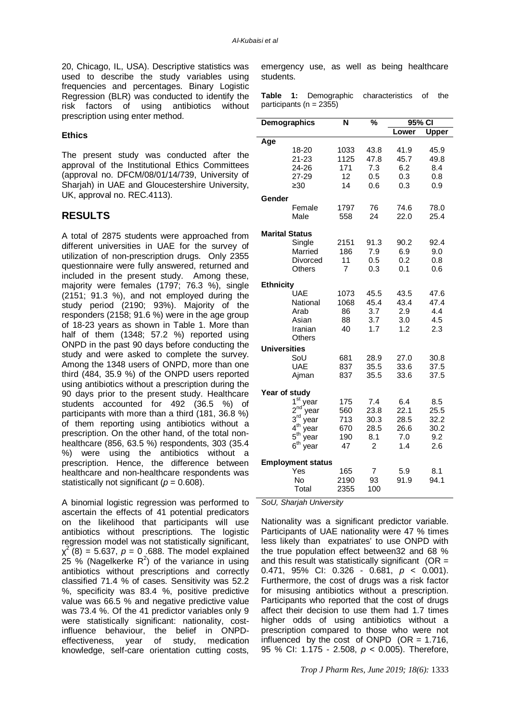20, Chicago, IL, USA). Descriptive statistics was used to describe the study variables using frequencies and percentages. Binary Logistic Regression (BLR) was conducted to identify the risk factors of using antibiotics without prescription using enter method.

#### **Ethics**

The present study was conducted after the approval of the Institutional Ethics Committees (approval no. DFCM/08/01/14/739, University of Shariah) in UAE and Gloucestershire University, UK, approval no. REC.4113).

## **RESULTS**

A total of 2875 students were approached from different universities in UAE for the survey of utilization of non-prescription drugs. Only 2355 questionnaire were fully answered, returned and included in the present study. Among these, majority were females (1797; 76.3 %), single (2151; 91.3 %), and not employed during the study period (2190; 93%). Majority of the responders (2158; 91.6 %) were in the age group of 18-23 years as shown in Table 1. More than half of them (1348; 57.2 %) reported using ONPD in the past 90 days before conducting the study and were asked to complete the survey. Among the 1348 users of ONPD, more than one third (484, 35.9 %) of the ONPD users reported using antibiotics without a prescription during the 90 days prior to the present study. Healthcare students accounted for 492 (36.5 %) of participants with more than a third (181, 36.8 %) of them reporting using antibiotics without a prescription. On the other hand, of the total nonhealthcare (856, 63.5 %) respondents, 303 (35.4 %) were using the antibiotics without a prescription. Hence, the difference between healthcare and non-healthcare respondents was statistically not significant ( $p = 0.608$ ).

A binomial logistic regression was performed to ascertain the effects of 41 potential predicators on the likelihood that participants will use antibiotics without prescriptions. The logistic regression model was not statistically significant,  $\chi^2(8) = 5.637, p = 0.688$ . The model explained  $25\%$  (Nagelkerke R<sup>2</sup>) of the variance in using antibiotics without prescriptions and correctly classified 71.4 % of cases. Sensitivity was 52.2 %, specificity was 83.4 %, positive predictive value was 66.5 % and negative predictive value was 73.4 %. Of the 41 predictor variables only 9 were statistically significant: nationality, costinfluence behaviour, the belief in ONPDeffectiveness, year of study, medication knowledge, self-care orientation cutting costs,

emergency use, as well as being healthcare students.

**Table 1:** Demographic characteristics of the participants ( $n = 2355$ )

| Demographics             |                         | N        | $\overline{\mathcal{C}}$ | 95% CI     |            |  |
|--------------------------|-------------------------|----------|--------------------------|------------|------------|--|
|                          |                         |          |                          | Lower      | Upper      |  |
| Age                      |                         |          |                          |            |            |  |
|                          | 18-20                   | 1033     | 43.8                     | 41.9       | 45.9       |  |
|                          | 21-23                   | 1125     | 47.8                     | 45.7       | 49.8       |  |
|                          | 24-26                   | 171      | 7.3                      | 6.2        | 8.4        |  |
|                          | 27-29<br>$\geq 30$      | 12<br>14 | 0.5<br>0.6               | 0.3<br>0.3 | 0.8<br>0.9 |  |
|                          |                         |          |                          |            |            |  |
| Gender                   |                         |          |                          |            |            |  |
|                          | Female                  | 1797     | 76                       | 74.6       | 78.0       |  |
|                          | Male                    | 558      | 24                       | 22.0       | 25.4       |  |
| <b>Marital Status</b>    |                         |          |                          |            |            |  |
|                          | Single                  | 2151     | 91.3                     | 90.2       | 92.4       |  |
|                          | Married                 | 186      | 7.9                      | 6.9        | 9.0        |  |
|                          | Divorced                | 11       | 0.5                      | 0.2        | 0.8        |  |
|                          | <b>Others</b>           | 7        | 0.3                      | 0.1        | 0.6        |  |
| <b>Ethnicity</b>         |                         |          |                          |            |            |  |
|                          | UAE                     | 1073     | 45.5                     | 43.5       | 47.6       |  |
|                          | National                | 1068     | 45.4                     | 43.4       | 47.4       |  |
|                          | Arab                    | 86       | 3.7                      | 2.9        | 4.4        |  |
|                          | Asian                   | 88       | 3.7                      | 3.0        | 4.5        |  |
|                          | Iranian                 | 40       | 1.7                      | 1.2        | 2.3        |  |
|                          | <b>Others</b>           |          |                          |            |            |  |
| <b>Universities</b>      |                         |          |                          |            |            |  |
|                          | SoU                     | 681      | 28.9                     | 27.0       | 30.8       |  |
|                          | UAE                     | 837      | 35.5                     | 33.6       | 37.5       |  |
|                          | Aiman                   | 837      | 35.5                     | 33.6       | 37.5       |  |
| Year of study            |                         |          |                          |            |            |  |
|                          | 1 <sup>st</sup> year    | 175      | 7.4                      | 6.4        | 8.5        |  |
|                          | 2 <sup>nd</sup><br>year | 560      | 23.8                     | 22.1       | 25.5       |  |
|                          | 3 <sup>rd</sup><br>year | 713      | 30.3                     | 28.5       | 32.2       |  |
|                          | 4 <sup>th</sup><br>vear | 670      | 28.5                     | 26.6       | 30.2       |  |
|                          | 5 <sup>th</sup><br>year | 190      | 8.1                      | 7.0        | 9.2        |  |
|                          | 6 <sup>th</sup><br>year | 47       | 2                        | 1.4        | 2.6        |  |
| <b>Employment status</b> |                         |          |                          |            |            |  |
|                          | Yes                     | 165      | 7                        | 5.9        | 8.1        |  |
|                          | No                      | 2190     | 93                       | 91.9       | 94.1       |  |
|                          | Total                   | 2355     | 100                      |            |            |  |

*SoU, Sharjah University*

Nationality was a significant predictor variable. Participants of UAE nationality were 47 % times less likely than expatriates' to use ONPD with the true population effect between32 and 68 % and this result was statistically significant  $(OR =$ 0.471, 95% CI: 0.326 - 0.681, *p* < 0.001). Furthermore, the cost of drugs was a risk factor for misusing antibiotics without a prescription. Participants who reported that the cost of drugs affect their decision to use them had 1.7 times higher odds of using antibiotics without a prescription compared to those who were not influenced by the cost of ONPD (OR  $= 1.716$ , 95 % CI: 1.175 - 2.508, *p* < 0.005). Therefore,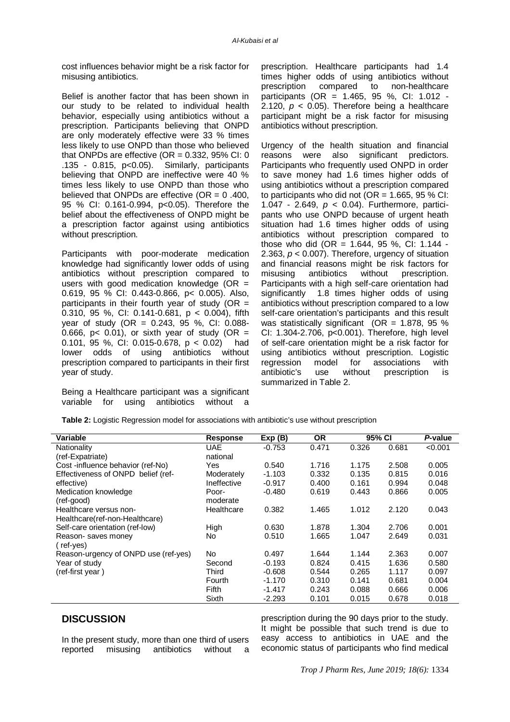cost influences behavior might be a risk factor for misusing antibiotics.

Belief is another factor that has been shown in our study to be related to individual health behavior, especially using antibiotics without a prescription. Participants believing that ONPD are only moderately effective were 33 % times less likely to use ONPD than those who believed that ONPDs are effective (OR =  $0.332$ , 95% CI; 0 .135 - 0.815, p<0.05). Similarly, participants believing that ONPD are ineffective were 40 % times less likely to use ONPD than those who believed that ONPDs are effective  $(OR = 0.400,$ 95 % CI: 0.161-0.994, p<0.05). Therefore the belief about the effectiveness of ONPD might be a prescription factor against using antibiotics without prescription.

Participants with poor-moderate medication knowledge had significantly lower odds of using antibiotics without prescription compared to users with good medication knowledge ( $OR =$ 0.619, 95 % CI: 0.443-0.866, p< 0.005). Also, participants in their fourth year of study ( $OR =$ 0.310, 95 %, CI: 0.141-0.681, p < 0.004), fifth year of study (OR = 0.243, 95 %, CI: 0.088- 0.666, p< 0.01), or sixth year of study (OR = 0.101, 95 %, CI: 0.015-0.678,  $p < 0.02$  had lower odds of using antibiotics without prescription compared to participants in their first year of study.

Being a Healthcare participant was a significant variable for using antibiotics without

prescription. Healthcare participants had 1.4 times higher odds of using antibiotics without prescription compared to non-healthcare participants (OR = 1.465, 95 %, CI: 1.012 - 2.120, *p* < 0.05). Therefore being a healthcare participant might be a risk factor for misusing antibiotics without prescription.

Urgency of the health situation and financial reasons were also significant predictors. Participants who frequently used ONPD in order to save money had 1.6 times higher odds of using antibiotics without a prescription compared to participants who did not  $(OR = 1.665, 95\% \text{ Cl}:$ 1.047 - 2.649, *p* < 0.04). Furthermore, participants who use ONPD because of urgent heath situation had 1.6 times higher odds of using antibiotics without prescription compared to those who did (OR = 1.644, 95 %, CI: 1.144 -2.363, *p* < 0.007). Therefore, urgency of situation and financial reasons might be risk factors for misusing antibiotics without prescription. Participants with a high self-care orientation had significantly 1.8 times higher odds of using antibiotics without prescription compared to a low self-care orientation's participants and this result was statistically significant  $(OR = 1.878, 95 %$ CI: 1.304-2.706, p<0.001). Therefore, high level of self-care orientation might be a risk factor for using antibiotics without prescription. Logistic regression model for associations with antibiotic's use without prescription is summarized in Table 2.

| <b>Table 2:</b> Logistic Regression model for associations with antibiotic's use without prescription |  |  |  |
|-------------------------------------------------------------------------------------------------------|--|--|--|
|-------------------------------------------------------------------------------------------------------|--|--|--|

| Variable                             | <b>Response</b> | Exp(B)   | ΟR    | 95% CI |       | P-value |
|--------------------------------------|-----------------|----------|-------|--------|-------|---------|
| Nationality                          | UAE.            | $-0.753$ | 0.471 | 0.326  | 0.681 | < 0.001 |
| (ref-Expatriate)                     | national        |          |       |        |       |         |
| Cost -influence behavior (ref-No)    | Yes             | 0.540    | 1.716 | 1.175  | 2.508 | 0.005   |
| Effectiveness of ONPD belief (ref-   | Moderately      | $-1.103$ | 0.332 | 0.135  | 0.815 | 0.016   |
| effective)                           | Ineffective     | $-0.917$ | 0.400 | 0.161  | 0.994 | 0.048   |
| Medication knowledge                 | Poor-           | $-0.480$ | 0.619 | 0.443  | 0.866 | 0.005   |
| (ref-good)                           | moderate        |          |       |        |       |         |
| Healthcare versus non-               | Healthcare      | 0.382    | 1.465 | 1.012  | 2.120 | 0.043   |
| Healthcare(ref-non-Healthcare)       |                 |          |       |        |       |         |
| Self-care orientation (ref-low)      | High            | 0.630    | 1.878 | 1.304  | 2.706 | 0.001   |
| Reason-saves money                   | No.             | 0.510    | 1.665 | 1.047  | 2.649 | 0.031   |
| $(ref-ves)$                          |                 |          |       |        |       |         |
| Reason-urgency of ONPD use (ref-yes) | No.             | 0.497    | 1.644 | 1.144  | 2.363 | 0.007   |
| Year of study                        | Second          | $-0.193$ | 0.824 | 0.415  | 1.636 | 0.580   |
| (ref-first year)                     | Third           | $-0.608$ | 0.544 | 0.265  | 1.117 | 0.097   |
|                                      | Fourth          | $-1.170$ | 0.310 | 0.141  | 0.681 | 0.004   |
|                                      | Fifth           | $-1.417$ | 0.243 | 0.088  | 0.666 | 0.006   |
|                                      | Sixth           | $-2.293$ | 0.101 | 0.015  | 0.678 | 0.018   |

## **DISCUSSION**

In the present study, more than one third of users reported misusing antibiotics without a prescription during the 90 days prior to the study. It might be possible that such trend is due to easy access to antibiotics in UAE and the economic status of participants who find medical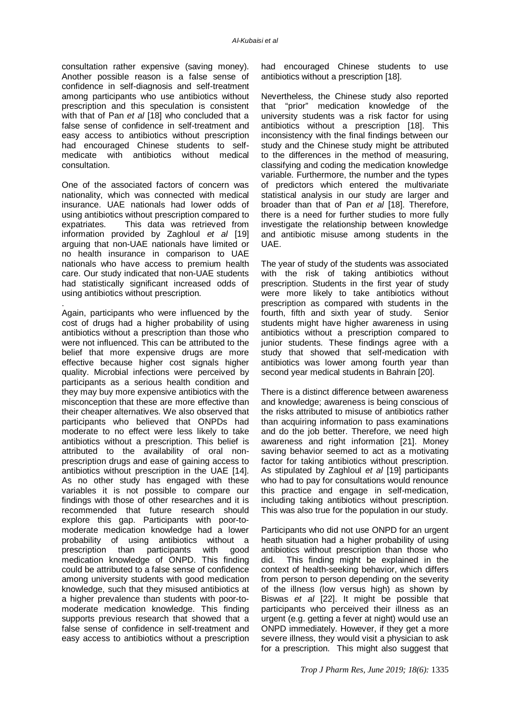consultation rather expensive (saving money). Another possible reason is a false sense of confidence in self-diagnosis and self-treatment among participants who use antibiotics without prescription and this speculation is consistent with that of Pan *et al* [18] who concluded that a false sense of confidence in self-treatment and easy access to antibiotics without prescription had encouraged Chinese students to selfmedicate with antibiotics without medical consultation.

One of the associated factors of concern was nationality, which was connected with medical insurance. UAE nationals had lower odds of using antibiotics without prescription compared to expatriates. This data was retrieved from information provided by Zaghloul *et al* [19] arguing that non-UAE nationals have limited or no health insurance in comparison to UAE nationals who have access to premium health care. Our study indicated that non-UAE students had statistically significant increased odds of using antibiotics without prescription.

. Again, participants who were influenced by the cost of drugs had a higher probability of using antibiotics without a prescription than those who were not influenced. This can be attributed to the belief that more expensive drugs are more effective because higher cost signals higher quality. Microbial infections were perceived by participants as a serious health condition and they may buy more expensive antibiotics with the misconception that these are more effective than their cheaper alternatives. We also observed that participants who believed that ONPDs had moderate to no effect were less likely to take antibiotics without a prescription. This belief is attributed to the availability of oral nonprescription drugs and ease of gaining access to antibiotics without prescription in the UAE [14]. As no other study has engaged with these variables it is not possible to compare our findings with those of other researches and it is recommended that future research should explore this gap. Participants with poor-tomoderate medication knowledge had a lower probability of using antibiotics without a prescription than participants with good medication knowledge of ONPD. This finding could be attributed to a false sense of confidence among university students with good medication knowledge, such that they misused antibiotics at a higher prevalence than students with poor-tomoderate medication knowledge. This finding supports previous research that showed that a false sense of confidence in self-treatment and easy access to antibiotics without a prescription

had encouraged Chinese students to use antibiotics without a prescription [18].

Nevertheless, the Chinese study also reported that "prior" medication knowledge of the university students was a risk factor for using antibiotics without a prescription [18]. This inconsistency with the final findings between our study and the Chinese study might be attributed to the differences in the method of measuring, classifying and coding the medication knowledge variable. Furthermore, the number and the types of predictors which entered the multivariate statistical analysis in our study are larger and broader than that of Pan *et al* [18]. Therefore, there is a need for further studies to more fully investigate the relationship between knowledge and antibiotic misuse among students in the UAE.

The year of study of the students was associated with the risk of taking antibiotics without prescription. Students in the first year of study were more likely to take antibiotics without prescription as compared with students in the fourth, fifth and sixth year of study. Senior students might have higher awareness in using antibiotics without a prescription compared to junior students. These findings agree with a study that showed that self-medication with antibiotics was lower among fourth year than second year medical students in Bahrain [20].

There is a distinct difference between awareness and knowledge; awareness is being conscious of the risks attributed to misuse of antibiotics rather than acquiring information to pass examinations and do the job better. Therefore, we need high awareness and right information [21]. Money saving behavior seemed to act as a motivating factor for taking antibiotics without prescription. As stipulated by Zaghloul *et al* [19] participants who had to pay for consultations would renounce this practice and engage in self-medication, including taking antibiotics without prescription. This was also true for the population in our study.

Participants who did not use ONPD for an urgent heath situation had a higher probability of using antibiotics without prescription than those who did. This finding might be explained in the context of health-seeking behavior, which differs from person to person depending on the severity of the illness (low versus high) as shown by Biswas *et al* [22]. It might be possible that participants who perceived their illness as an urgent (e.g. getting a fever at night) would use an ONPD immediately. However, if they get a more severe illness, they would visit a physician to ask for a prescription. This might also suggest that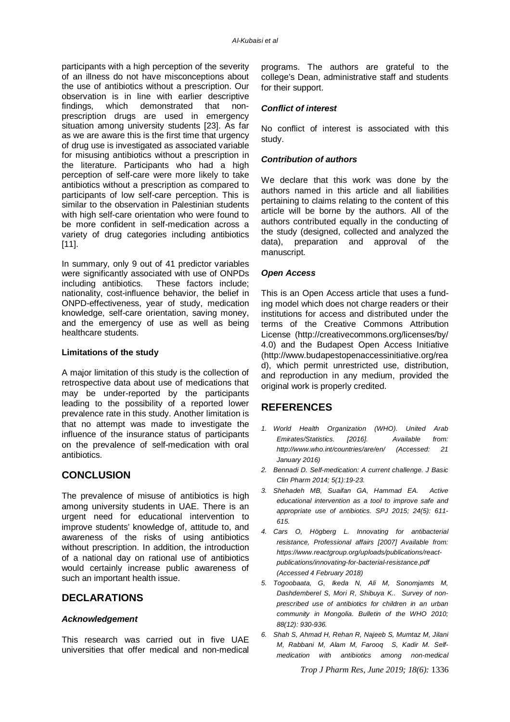participants with a high perception of the severity of an illness do not have misconceptions about the use of antibiotics without a prescription. Our observation is in line with earlier descriptive findings, which demonstrated that nonprescription drugs are used in emergency situation among university students [23]. As far as we are aware this is the first time that urgency of drug use is investigated as associated variable for misusing antibiotics without a prescription in the literature. Participants who had a high perception of self-care were more likely to take antibiotics without a prescription as compared to participants of low self-care perception. This is similar to the observation in Palestinian students with high self-care orientation who were found to be more confident in self-medication across a variety of drug categories including antibiotics [11].

In summary, only 9 out of 41 predictor variables were significantly associated with use of ONPDs including antibiotics. These factors include; nationality, cost-influence behavior, the belief in ONPD-effectiveness, year of study, medication knowledge, self-care orientation, saving money, and the emergency of use as well as being healthcare students.

#### **Limitations of the study**

A major limitation of this study is the collection of retrospective data about use of medications that may be under-reported by the participants leading to the possibility of a reported lower prevalence rate in this study. Another limitation is that no attempt was made to investigate the influence of the insurance status of participants on the prevalence of self-medication with oral antibiotics.

## **CONCLUSION**

The prevalence of misuse of antibiotics is high among university students in UAE. There is an urgent need for educational intervention to improve students' knowledge of, attitude to, and awareness of the risks of using antibiotics without prescription. In addition, the introduction of a national day on rational use of antibiotics would certainly increase public awareness of such an important health issue.

## **DECLARATIONS**

### *Acknowledgement*

This research was carried out in five UAE universities that offer medical and non-medical

programs. The authors are grateful to the college's Dean, administrative staff and students for their support.

## *Conflict of interest*

No conflict of interest is associated with this study.

## *Contribution of authors*

We declare that this work was done by the authors named in this article and all liabilities pertaining to claims relating to the content of this article will be borne by the authors. All of the authors contributed equally in the conducting of the study (designed, collected and analyzed the data), preparation and approval of the manuscript.

### *Open Access*

This is an Open Access article that uses a funding model which does not charge readers or their institutions for access and distributed under the terms of the Creative Commons Attribution License (<http://creativecommons.org/licenses/by/> 4.0) and the Budapest Open Access Initiative [\(http://www.budapestopenaccessinitiative.org/rea](http://www.budapestopenaccessinitiative.org/rea) d), which permit unrestricted use, distribution, and reproduction in any medium, provided the original work is properly credited.

## **REFERENCES**

- *1. World Health Organization (WHO). United Arab Emirates/Statistics. [2016]. Available from: <http://www.who.int/countries/are/en/> (Accessed: 21 January 2016)*
- *2. Bennadi D. Self-medication: A current challenge. J Basic Clin Pharm 2014; 5(1):19-23.*
- *3. Shehadeh MB, Suaifan GA, Hammad EA. Active educational intervention as a tool to improve safe and appropriate use of antibiotics. SPJ 2015; 24(5): 611- 615.*
- *4. Cars O, Högberg L. Innovating for antibacterial resistance, Professional affairs [2007] Available from: [https://www.reactgroup.org/uploads/publications/react](https://www.reactgroup.org/uploads/publications/react-)publications/innovating-for-bacterial-resistance.pdf (Accessed 4 February 2018)*
- *5. Togoobaata, G, Ikeda N, Ali M, Sonomjamts M, Dashdemberel S, Mori R, Shibuya K.. Survey of nonprescribed use of antibiotics for children in an urban community in Mongolia. Bulletin of the WHO 2010; 88(12): 930-936.*
- *6. Shah S, Ahmad H, Rehan R, Najeeb S, Mumtaz M, Jilani M, Rabbani M, Alam M, Farooq S, Kadir M. Selfmedication with antibiotics among non-medical*

*Trop J Pharm Res, June 2019; 18(6):* 1336